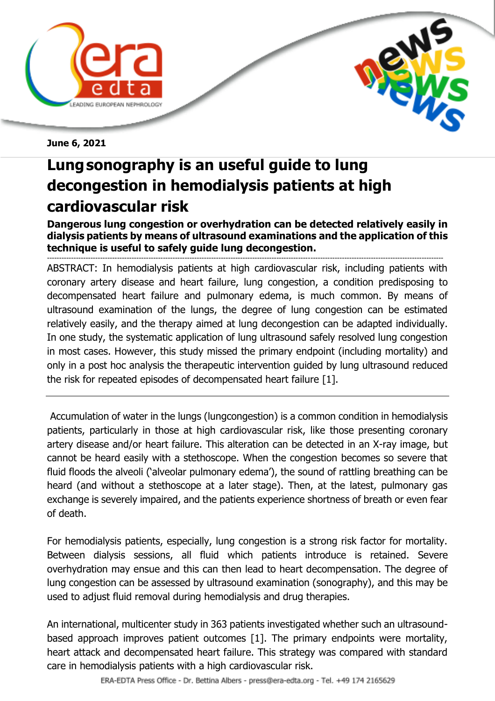



**June 6, 2021**

## **Lungsonography is an useful guide to lung decongestion in hemodialysis patients at high cardiovascular risk**

**Dangerous lung congestion or overhydration can be detected relatively easily in dialysis patients by means of ultrasound examinations and the application of this technique is useful to safely guide lung decongestion.**

-------------------------------------------------------------------------------------------------------------------------------------------------------------------- ABSTRACT: In hemodialysis patients at high cardiovascular risk, including patients with coronary artery disease and heart failure, lung congestion, a condition predisposing to decompensated heart failure and pulmonary edema, is much common. By means of ultrasound examination of the lungs, the degree of lung congestion can be estimated relatively easily, and the therapy aimed at lung decongestion can be adapted individually. In one study, the systematic application of lung ultrasound safely resolved lung congestion in most cases. However, this study missed the primary endpoint (including mortality) and only in a post hoc analysis the therapeutic intervention guided by lung ultrasound reduced the risk for repeated episodes of decompensated heart failure [1].

Accumulation of water in the lungs (lungcongestion) is a common condition in hemodialysis patients, particularly in those at high cardiovascular risk, like those presenting coronary artery disease and/or heart failure. This alteration can be detected in an X-ray image, but cannot be heard easily with a stethoscope. When the congestion becomes so severe that fluid floods the alveoli ('alveolar pulmonary edema'), the sound of rattling breathing can be heard (and without a stethoscope at a later stage). Then, at the latest, pulmonary gas exchange is severely impaired, and the patients experience shortness of breath or even fear of death.

For hemodialysis patients, especially, lung congestion is a strong risk factor for mortality. Between dialysis sessions, all fluid which patients introduce is retained. Severe overhydration may ensue and this can then lead to heart decompensation. The degree of lung congestion can be assessed by ultrasound examination (sonography), and this may be used to adjust fluid removal during hemodialysis and drug therapies.

An international, multicenter study in 363 patients investigated whether such an ultrasoundbased approach improves patient outcomes [1]. The primary endpoints were mortality, heart attack and decompensated heart failure. This strategy was compared with standard care in hemodialysis patients with a high cardiovascular risk.